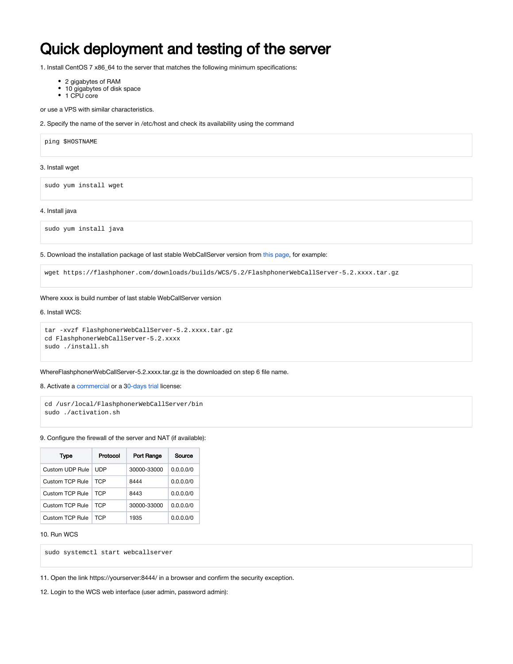# Quick deployment and testing of the server

1. Install CentOS 7 x86\_64 to the server that matches the following minimum specifications:

- 2 gigabytes of RAM
- 10 gigabytes of disk space
- 1 CPU core

or use a VPS with similar characteristics.

2. Specify the name of the server in /etc/host and check its availability using the command

ping \$HOSTNAME

## 3. Install wget

sudo yum install wget

## 4. Install java

sudo yum install java

5. Download the installation package of last stable WebCallServer version from [this page](https://docs.flashphoner.com/display/WCS52EN/Release+notes), for example:

wget https://flashphoner.com/downloads/builds/WCS/5.2/FlashphonerWebCallServer-5.2.xxxx.tar.gz

## Where xxxx is build number of last stable WebCallServer version

#### 6. Install WCS:

```
tar -xvzf FlashphonerWebCallServer-5.2.xxxx.tar.gz
cd FlashphonerWebCallServer-5.2.xxxx
sudo ./install.sh
```
## WhereFlashphonerWebCallServer-5.2.xxxx.tar.gz is the downloaded on step 6 file name.

8. Activate a [commercial](http://flashphoner.com/prices) or a 3[0-days trial](http://flashphoner.com/get_trial/?product=wcs5) license:

```
cd /usr/local/FlashphonerWebCallServer/bin
sudo ./activation.sh
```
# 9. Configure the firewall of the server and NAT (if available):

| Type            | Protocol | Port Range  | Source    |  |
|-----------------|----------|-------------|-----------|--|
| Custom UDP Rule | UDP      | 30000-33000 | 0.0.0.0/0 |  |
| Custom TCP Rule | TCP      | 8444        | 0.0.0.0/0 |  |
| Custom TCP Rule | TCP      | 8443        | 0.0.0.0/0 |  |
| Custom TCP Rule | TCP      | 30000-33000 | 0.0.0.0/0 |  |
| Custom TCP Rule | TCP      | 1935        | 0.0.0.0/0 |  |

# 10. Run WCS

sudo systemctl start webcallserver

11. Open the link https://yourserver:8444/ in a browser and confirm the security exception.

12. Login to the WCS web interface (user admin, password admin):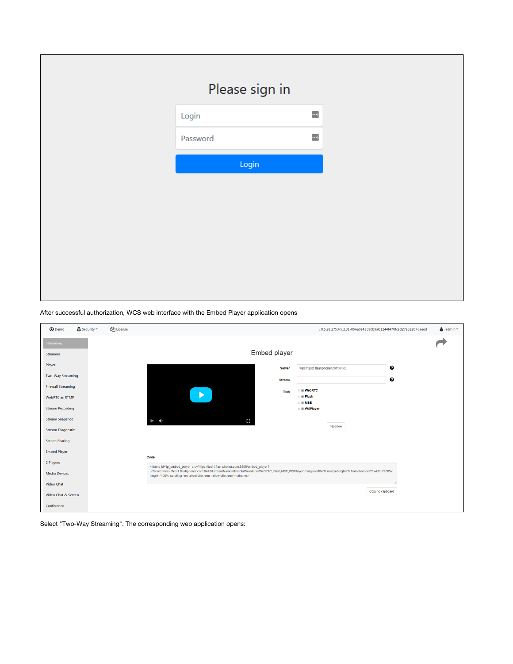| Please sign in |                          |
|----------------|--------------------------|
| Login          | $\overline{\phantom{a}}$ |
| Password       | $\overline{\phantom{a}}$ |
| Login          |                          |
|                |                          |
|                |                          |
|                |                          |
|                |                          |
|                |                          |
|                |                          |

After successful authorization, WCS web interface with the Embed Player application opens

| <b>D</b> Demo             | $\triangle$ Security $\equiv$ | <b>C</b> License |                                                                                                                                                                                                                                                                                                                                                                                                                                                                                                                                                                          |               | v.0.5.28.2753-5.2.31-056a0a43690b9ab1244f470fcad27e61207daeed | $\triangle$ admin $\equiv$ |  |
|---------------------------|-------------------------------|------------------|--------------------------------------------------------------------------------------------------------------------------------------------------------------------------------------------------------------------------------------------------------------------------------------------------------------------------------------------------------------------------------------------------------------------------------------------------------------------------------------------------------------------------------------------------------------------------|---------------|---------------------------------------------------------------|----------------------------|--|
| <b>Streaming</b>          |                               |                  |                                                                                                                                                                                                                                                                                                                                                                                                                                                                                                                                                                          |               |                                                               |                            |  |
| Streamer                  |                               |                  | <b>Embed player</b>                                                                                                                                                                                                                                                                                                                                                                                                                                                                                                                                                      |               |                                                               |                            |  |
| Player                    |                               |                  |                                                                                                                                                                                                                                                                                                                                                                                                                                                                                                                                                                          | <b>Server</b> | wss://test1.flashphoner.com:8443                              | €                          |  |
| <b>Two-Way Streaming</b>  |                               |                  |                                                                                                                                                                                                                                                                                                                                                                                                                                                                                                                                                                          | <b>Stream</b> |                                                               | Θ                          |  |
| <b>Firewall Streaming</b> |                               |                  |                                                                                                                                                                                                                                                                                                                                                                                                                                                                                                                                                                          | <b>Tech</b>   | ‡ <b>WebRTC</b>                                               |                            |  |
| WebRTC as RTMP            |                               |                  |                                                                                                                                                                                                                                                                                                                                                                                                                                                                                                                                                                          |               | ⊕ Flash<br>$\div$ $\blacksquare$ MSE                          |                            |  |
| <b>Stream Recording</b>   |                               |                  |                                                                                                                                                                                                                                                                                                                                                                                                                                                                                                                                                                          |               | ‡ Ø WSPlayer                                                  |                            |  |
| <b>Stream Snapshot</b>    |                               |                  | Ω<br>$\blacktriangleleft$                                                                                                                                                                                                                                                                                                                                                                                                                                                                                                                                                |               | <b>Test now</b>                                               |                            |  |
| <b>Stream Diagnostic</b>  |                               |                  |                                                                                                                                                                                                                                                                                                                                                                                                                                                                                                                                                                          |               |                                                               |                            |  |
| <b>Screen Sharing</b>     |                               |                  |                                                                                                                                                                                                                                                                                                                                                                                                                                                                                                                                                                          |               |                                                               |                            |  |
| <b>Embed Player</b>       |                               |                  | Code                                                                                                                                                                                                                                                                                                                                                                                                                                                                                                                                                                     |               |                                                               |                            |  |
| 2 Players                 |                               |                  | <tframe <br="" frameborder="0" id="fp_embed_player" marginheight="0" marginwidth="0" src="https://test1.flashphoner.com:8888/embed_player?&lt;/td&gt;&lt;td&gt;&lt;/td&gt;&lt;td&gt;&lt;/td&gt;&lt;td&gt;&lt;/td&gt;&lt;td&gt;&lt;/td&gt;&lt;/tr&gt;&lt;tr&gt;&lt;td&gt;&lt;b&gt;Media Devices&lt;/b&gt;&lt;/td&gt;&lt;td&gt;&lt;/td&gt;&lt;td&gt;&lt;/td&gt;&lt;td&gt;urlServer=wss://test1.flashphoner.com:8443&amp;streamName=&amp;mediaProviders=WebRTC,Flash,MSE,WSPlayer" width="100%">height='100%' scrolling='no' allowfullscreen='allowfullscreen'&gt;</tframe> |               |                                                               |                            |  |
| Video Chat                |                               |                  |                                                                                                                                                                                                                                                                                                                                                                                                                                                                                                                                                                          |               |                                                               | Copy to clipboard          |  |
| Video Chat & Screen       |                               |                  |                                                                                                                                                                                                                                                                                                                                                                                                                                                                                                                                                                          |               |                                                               |                            |  |
| Conference                |                               |                  |                                                                                                                                                                                                                                                                                                                                                                                                                                                                                                                                                                          |               |                                                               |                            |  |

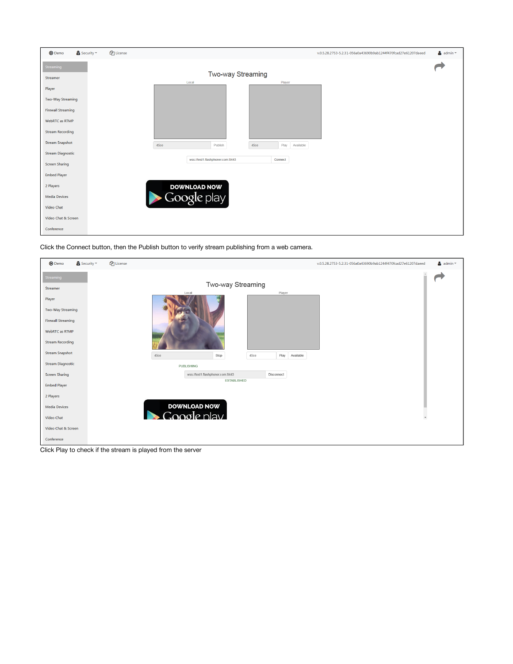

Click the Connect button, then the Publish button to verify stream publishing from a web camera.

| <b>D</b> Demo             | $\triangle$ Security $\sim$ | <sup><i>C</i> License</sup> |                       |                                  |            |                   | v.0.5.28.2753-5.2.31-056a0a43690b9ab1244f470fcad27e61207daeed | $\triangleq$ admin $\equiv$ |
|---------------------------|-----------------------------|-----------------------------|-----------------------|----------------------------------|------------|-------------------|---------------------------------------------------------------|-----------------------------|
| Streaming<br>Streamer     |                             |                             |                       | Two-way Streaming<br>Local       |            | Player            |                                                               |                             |
| Player                    |                             |                             |                       |                                  |            |                   |                                                               |                             |
| <b>Two-Way Streaming</b>  |                             |                             |                       |                                  |            |                   |                                                               |                             |
| <b>Firewall Streaming</b> |                             |                             |                       |                                  |            |                   |                                                               |                             |
| WebRTC as RTMP            |                             |                             |                       |                                  |            |                   |                                                               |                             |
| <b>Stream Recording</b>   |                             |                             |                       |                                  |            |                   |                                                               |                             |
| <b>Stream Snapshot</b>    |                             |                             | 45ce                  | Stop                             | 45ce       | Play<br>Available |                                                               |                             |
| <b>Stream Diagnostic</b>  |                             |                             |                       | <b>PUBLISHING</b>                |            |                   |                                                               |                             |
| <b>Screen Sharing</b>     |                             |                             |                       | wss://test1.flashphoner.com:8443 | Disconnect |                   |                                                               |                             |
| <b>Embed Player</b>       |                             |                             |                       | <b>ESTABLISHED</b>               |            |                   |                                                               |                             |
| 2 Players                 |                             |                             |                       |                                  |            |                   |                                                               |                             |
| <b>Media Devices</b>      |                             |                             |                       | <b>DOWNLOAD NOW</b>              |            |                   |                                                               |                             |
| Video Chat                |                             |                             | $\blacktriangleright$ | Google play                      |            |                   |                                                               | $\overline{\phantom{a}}$    |
| Video Chat & Screen       |                             |                             |                       |                                  |            |                   |                                                               |                             |
| Conference                |                             |                             |                       |                                  |            |                   |                                                               |                             |

Click Play to check if the stream is played from the server